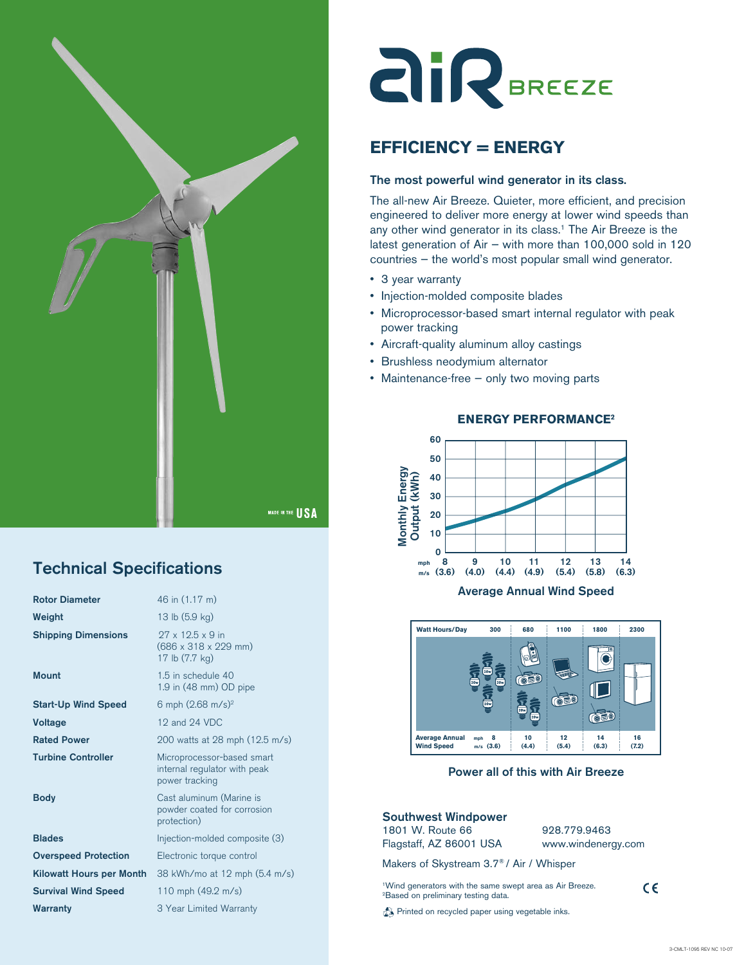

## Technical Specifications

| <b>Rotor Diameter</b>       | 46 in (1.17 m)                                                                             |
|-----------------------------|--------------------------------------------------------------------------------------------|
| Weight                      | 13 lb (5.9 kg)                                                                             |
| <b>Shipping Dimensions</b>  | $97 \times 19.5 \times 9$ in<br>$(686 \times 318 \times 229 \text{ mm})$<br>17 lb (7.7 kg) |
| Mount                       | 1.5 in schedule 40<br>1.9 in (48 mm) OD pipe                                               |
| <b>Start-Up Wind Speed</b>  | 6 mph $(2.68 \text{ m/s})^2$                                                               |
| <b>Voltage</b>              | 12 and 24 VDC                                                                              |
| <b>Rated Power</b>          | 200 watts at 28 mph (12.5 m/s)                                                             |
| <b>Turbine Controller</b>   | Microprocessor-based smart<br>internal regulator with peak<br>power tracking               |
| Body                        | Cast aluminum (Marine is<br>powder coated for corrosion<br>protection)                     |
| <b>Blades</b>               | Injection-molded composite (3)                                                             |
| <b>Overspeed Protection</b> | Electronic torque control                                                                  |
| Kilowatt Hours per Month    | 38 kWh/mo at 12 mph (5.4 m/s)                                                              |
| <b>Survival Wind Speed</b>  | 110 mph (49.2 m/s)                                                                         |
| <b>Warranty</b>             | 3 Year Limited Warranty                                                                    |

# **AIR**BREEZE

## **EFFICIENCY = ENERGY**

#### The most powerful wind generator in its class.

The all-new Air Breeze. Quieter, more efficient, and precision engineered to deliver more energy at lower wind speeds than any other wind generator in its class.<sup>1</sup> The Air Breeze is the latest generation of Air — with more than 100,000 sold in 120 countries — the world's most popular small wind generator.

- 3 year warranty
- Injection-molded composite blades
- Microprocessor-based smart internal regulator with peak power tracking
- Aircraft-quality aluminum alloy castings
- Brushless neodymium alternator
- Maintenance-free only two moving parts



### **ENERGY PERFORMANCE2**



**Power all of this with Air Breeze** Power all of this with Air Breeze

#### Southwest Windpower

1801 W. Route 66 Flagstaff, AZ 86001 USA 928.779.9463 www.windenergy.com

 $C \in$ 

Makers of Skystream 3.7® / Air / Whisper

<sup>1</sup>Wind generators with the same swept area as Air Breeze.<br><sup>2</sup>Based on preliminary testing data.

**Printed on recycled paper using vegetable inks.**